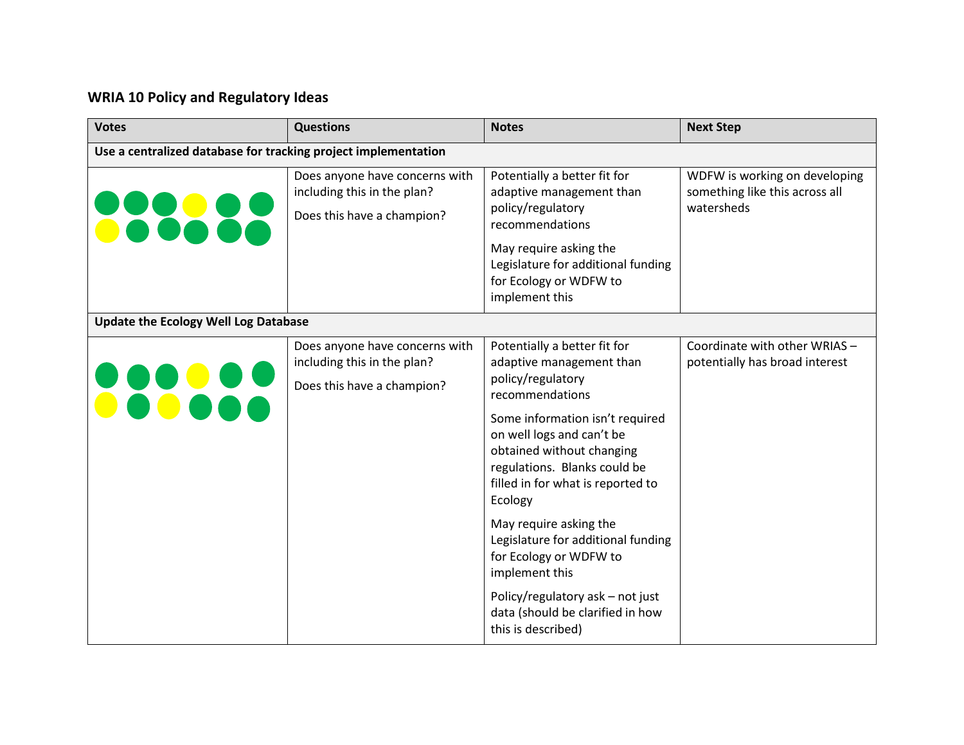## **WRIA 10 Policy and Regulatory Ideas**

| <b>Votes</b>                                                   | <b>Questions</b>                                                                            | <b>Notes</b>                                                                                                                                                                                                                                                                                                                                                                                                                                                                            | <b>Next Step</b>                                                              |
|----------------------------------------------------------------|---------------------------------------------------------------------------------------------|-----------------------------------------------------------------------------------------------------------------------------------------------------------------------------------------------------------------------------------------------------------------------------------------------------------------------------------------------------------------------------------------------------------------------------------------------------------------------------------------|-------------------------------------------------------------------------------|
| Use a centralized database for tracking project implementation |                                                                                             |                                                                                                                                                                                                                                                                                                                                                                                                                                                                                         |                                                                               |
| <u>uasa si</u>                                                 | Does anyone have concerns with<br>including this in the plan?<br>Does this have a champion? | Potentially a better fit for<br>adaptive management than<br>policy/regulatory<br>recommendations<br>May require asking the<br>Legislature for additional funding<br>for Ecology or WDFW to<br>implement this                                                                                                                                                                                                                                                                            | WDFW is working on developing<br>something like this across all<br>watersheds |
| <b>Update the Ecology Well Log Database</b>                    |                                                                                             |                                                                                                                                                                                                                                                                                                                                                                                                                                                                                         |                                                                               |
| <u>issuer</u>                                                  | Does anyone have concerns with<br>including this in the plan?<br>Does this have a champion? | Potentially a better fit for<br>adaptive management than<br>policy/regulatory<br>recommendations<br>Some information isn't required<br>on well logs and can't be<br>obtained without changing<br>regulations. Blanks could be<br>filled in for what is reported to<br>Ecology<br>May require asking the<br>Legislature for additional funding<br>for Ecology or WDFW to<br>implement this<br>Policy/regulatory ask - not just<br>data (should be clarified in how<br>this is described) | Coordinate with other WRIAS -<br>potentially has broad interest               |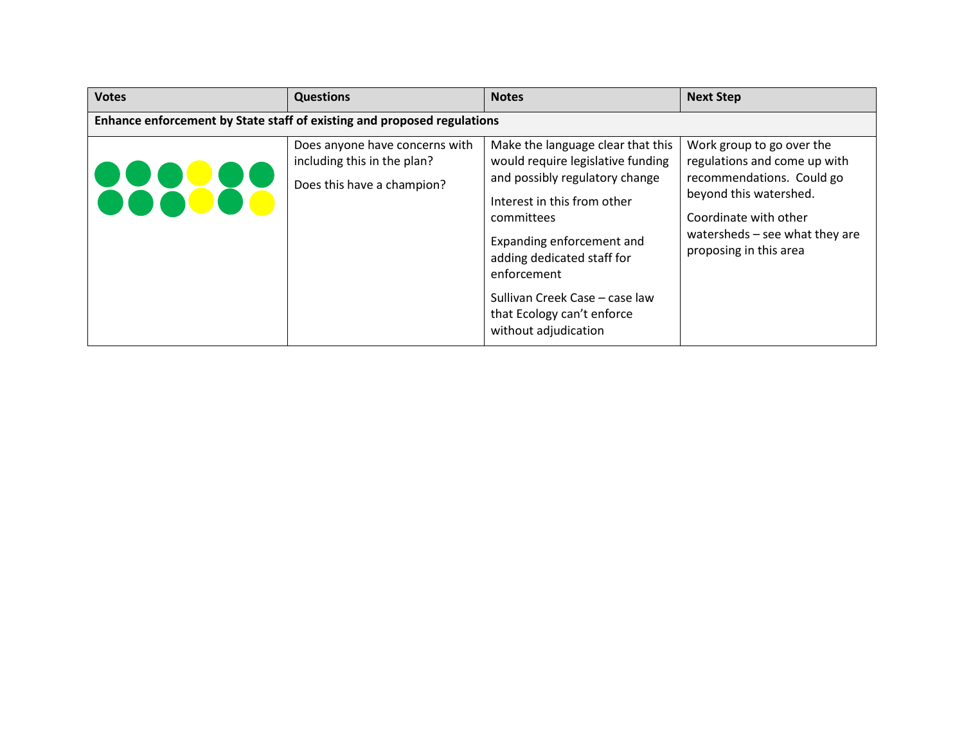| <b>Votes</b>      | <b>Questions</b>                                                                            | <b>Notes</b>                                                                                                                                                                                                                                                                                                            | <b>Next Step</b>                                                                                                                                                                                        |
|-------------------|---------------------------------------------------------------------------------------------|-------------------------------------------------------------------------------------------------------------------------------------------------------------------------------------------------------------------------------------------------------------------------------------------------------------------------|---------------------------------------------------------------------------------------------------------------------------------------------------------------------------------------------------------|
|                   | Enhance enforcement by State staff of existing and proposed regulations                     |                                                                                                                                                                                                                                                                                                                         |                                                                                                                                                                                                         |
| 8888<br>e.<br>Ser | Does anyone have concerns with<br>including this in the plan?<br>Does this have a champion? | Make the language clear that this<br>would require legislative funding<br>and possibly regulatory change<br>Interest in this from other<br>committees<br>Expanding enforcement and<br>adding dedicated staff for<br>enforcement<br>Sullivan Creek Case - case law<br>that Ecology can't enforce<br>without adjudication | Work group to go over the<br>regulations and come up with<br>recommendations. Could go<br>beyond this watershed.<br>Coordinate with other<br>watersheds $-$ see what they are<br>proposing in this area |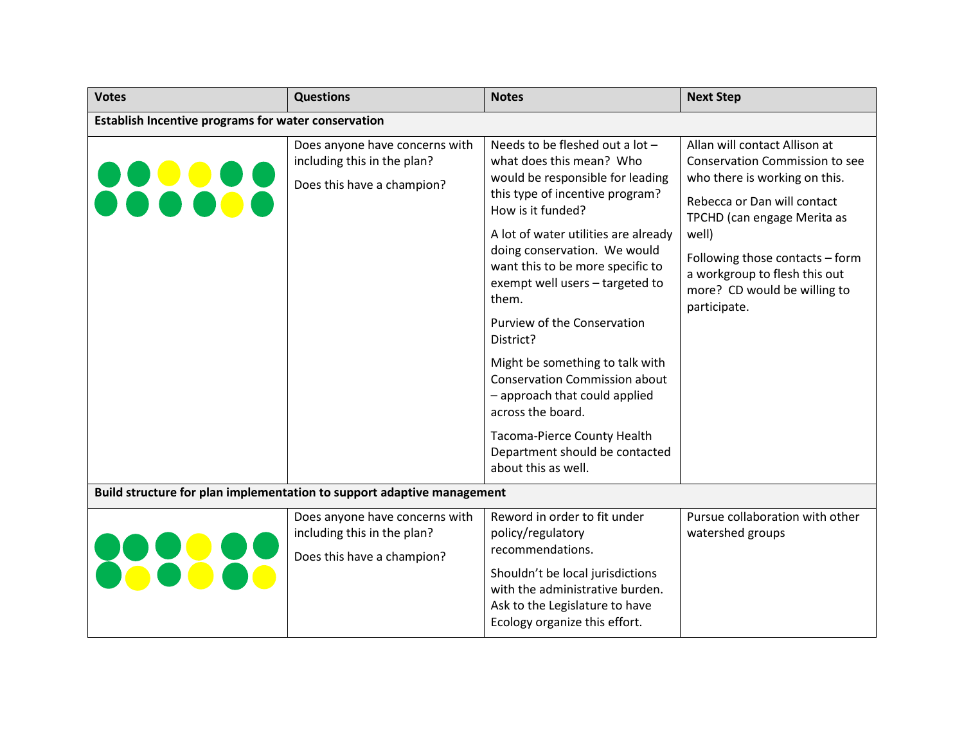| <b>Votes</b>                                                           | <b>Questions</b>                                                                            | <b>Notes</b>                                                                                                                                                                                                                                                                                                                                                                                                                                                                                                                                                                           | <b>Next Step</b>                                                                                                                                                                                                                                                                                   |  |
|------------------------------------------------------------------------|---------------------------------------------------------------------------------------------|----------------------------------------------------------------------------------------------------------------------------------------------------------------------------------------------------------------------------------------------------------------------------------------------------------------------------------------------------------------------------------------------------------------------------------------------------------------------------------------------------------------------------------------------------------------------------------------|----------------------------------------------------------------------------------------------------------------------------------------------------------------------------------------------------------------------------------------------------------------------------------------------------|--|
| Establish Incentive programs for water conservation                    |                                                                                             |                                                                                                                                                                                                                                                                                                                                                                                                                                                                                                                                                                                        |                                                                                                                                                                                                                                                                                                    |  |
| 88888<br>88888                                                         | Does anyone have concerns with<br>including this in the plan?<br>Does this have a champion? | Needs to be fleshed out a lot $-$<br>what does this mean? Who<br>would be responsible for leading<br>this type of incentive program?<br>How is it funded?<br>A lot of water utilities are already<br>doing conservation. We would<br>want this to be more specific to<br>exempt well users - targeted to<br>them.<br>Purview of the Conservation<br>District?<br>Might be something to talk with<br><b>Conservation Commission about</b><br>- approach that could applied<br>across the board.<br>Tacoma-Pierce County Health<br>Department should be contacted<br>about this as well. | Allan will contact Allison at<br><b>Conservation Commission to see</b><br>who there is working on this.<br>Rebecca or Dan will contact<br>TPCHD (can engage Merita as<br>well)<br>Following those contacts - form<br>a workgroup to flesh this out<br>more? CD would be willing to<br>participate. |  |
| Build structure for plan implementation to support adaptive management |                                                                                             |                                                                                                                                                                                                                                                                                                                                                                                                                                                                                                                                                                                        |                                                                                                                                                                                                                                                                                                    |  |
| <u>uado (</u>                                                          | Does anyone have concerns with<br>including this in the plan?<br>Does this have a champion? | Reword in order to fit under<br>policy/regulatory<br>recommendations.<br>Shouldn't be local jurisdictions<br>with the administrative burden.<br>Ask to the Legislature to have<br>Ecology organize this effort.                                                                                                                                                                                                                                                                                                                                                                        | Pursue collaboration with other<br>watershed groups                                                                                                                                                                                                                                                |  |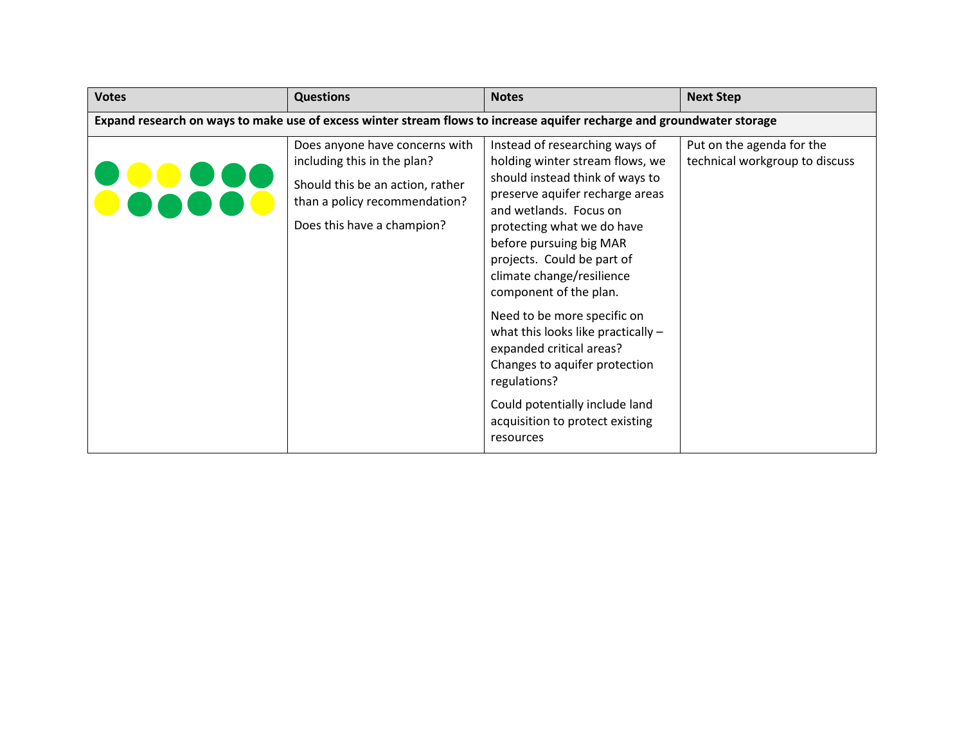| <b>Votes</b>                                                                                                           | <b>Questions</b>                                                                                                                                                 | <b>Notes</b>                                                                                                                                                                                                                                                                                                                                                                                                                                                                                                                                        | <b>Next Step</b>                                            |  |
|------------------------------------------------------------------------------------------------------------------------|------------------------------------------------------------------------------------------------------------------------------------------------------------------|-----------------------------------------------------------------------------------------------------------------------------------------------------------------------------------------------------------------------------------------------------------------------------------------------------------------------------------------------------------------------------------------------------------------------------------------------------------------------------------------------------------------------------------------------------|-------------------------------------------------------------|--|
| Expand research on ways to make use of excess winter stream flows to increase aquifer recharge and groundwater storage |                                                                                                                                                                  |                                                                                                                                                                                                                                                                                                                                                                                                                                                                                                                                                     |                                                             |  |
|                                                                                                                        | Does anyone have concerns with<br>including this in the plan?<br>Should this be an action, rather<br>than a policy recommendation?<br>Does this have a champion? | Instead of researching ways of<br>holding winter stream flows, we<br>should instead think of ways to<br>preserve aquifer recharge areas<br>and wetlands. Focus on<br>protecting what we do have<br>before pursuing big MAR<br>projects. Could be part of<br>climate change/resilience<br>component of the plan.<br>Need to be more specific on<br>what this looks like practically -<br>expanded critical areas?<br>Changes to aquifer protection<br>regulations?<br>Could potentially include land<br>acquisition to protect existing<br>resources | Put on the agenda for the<br>technical workgroup to discuss |  |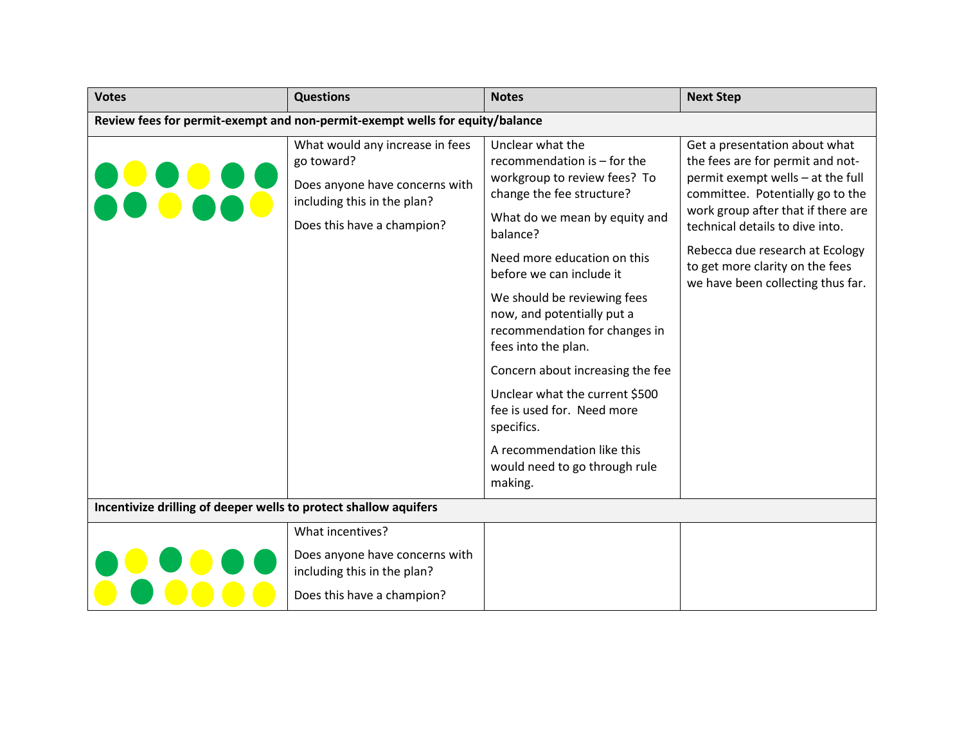| <b>Votes</b>                                                                 | <b>Questions</b>                                                                                                                             | <b>Notes</b>                                                                                                                                                                                                                                                                                                                                                                                                                                                                                                                          | <b>Next Step</b>                                                                                                                                                                                                                                                                                                               |  |
|------------------------------------------------------------------------------|----------------------------------------------------------------------------------------------------------------------------------------------|---------------------------------------------------------------------------------------------------------------------------------------------------------------------------------------------------------------------------------------------------------------------------------------------------------------------------------------------------------------------------------------------------------------------------------------------------------------------------------------------------------------------------------------|--------------------------------------------------------------------------------------------------------------------------------------------------------------------------------------------------------------------------------------------------------------------------------------------------------------------------------|--|
| Review fees for permit-exempt and non-permit-exempt wells for equity/balance |                                                                                                                                              |                                                                                                                                                                                                                                                                                                                                                                                                                                                                                                                                       |                                                                                                                                                                                                                                                                                                                                |  |
|                                                                              | What would any increase in fees<br>go toward?<br>Does anyone have concerns with<br>including this in the plan?<br>Does this have a champion? | Unclear what the<br>recommendation is - for the<br>workgroup to review fees? To<br>change the fee structure?<br>What do we mean by equity and<br>balance?<br>Need more education on this<br>before we can include it<br>We should be reviewing fees<br>now, and potentially put a<br>recommendation for changes in<br>fees into the plan.<br>Concern about increasing the fee<br>Unclear what the current \$500<br>fee is used for. Need more<br>specifics.<br>A recommendation like this<br>would need to go through rule<br>making. | Get a presentation about what<br>the fees are for permit and not-<br>permit exempt wells - at the full<br>committee. Potentially go to the<br>work group after that if there are<br>technical details to dive into.<br>Rebecca due research at Ecology<br>to get more clarity on the fees<br>we have been collecting thus far. |  |
| Incentivize drilling of deeper wells to protect shallow aquifers             |                                                                                                                                              |                                                                                                                                                                                                                                                                                                                                                                                                                                                                                                                                       |                                                                                                                                                                                                                                                                                                                                |  |
|                                                                              | What incentives?                                                                                                                             |                                                                                                                                                                                                                                                                                                                                                                                                                                                                                                                                       |                                                                                                                                                                                                                                                                                                                                |  |
|                                                                              | Does anyone have concerns with<br>including this in the plan?                                                                                |                                                                                                                                                                                                                                                                                                                                                                                                                                                                                                                                       |                                                                                                                                                                                                                                                                                                                                |  |
|                                                                              | Does this have a champion?                                                                                                                   |                                                                                                                                                                                                                                                                                                                                                                                                                                                                                                                                       |                                                                                                                                                                                                                                                                                                                                |  |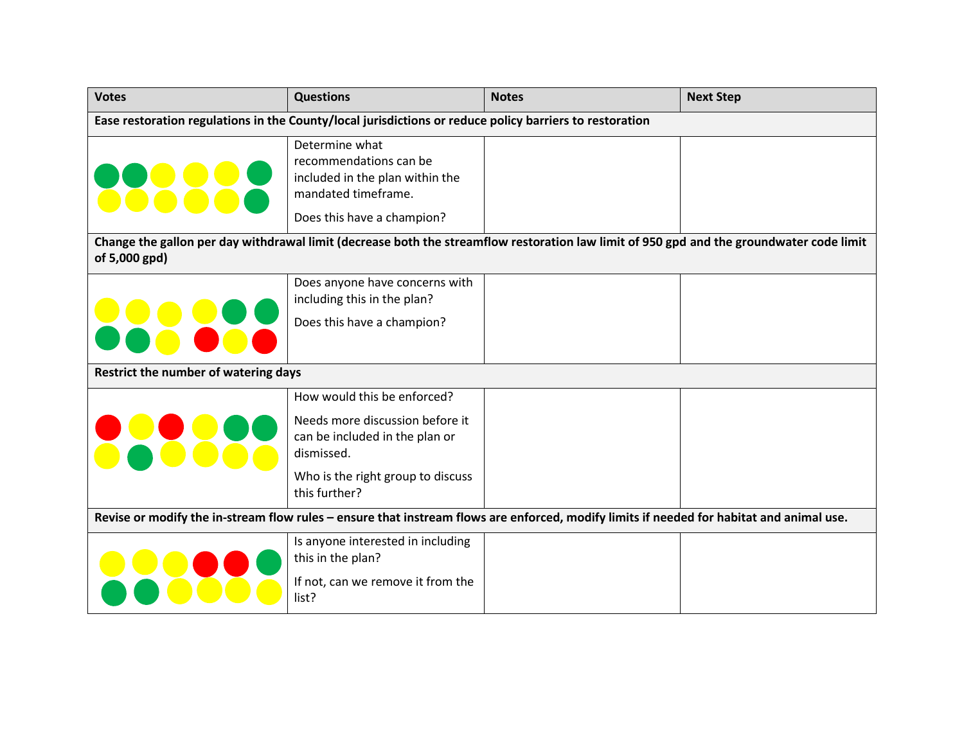| <b>Votes</b>                                                                                                                             | <b>Questions</b>                                                                                                                                                     | <b>Notes</b> | <b>Next Step</b> |
|------------------------------------------------------------------------------------------------------------------------------------------|----------------------------------------------------------------------------------------------------------------------------------------------------------------------|--------------|------------------|
| Ease restoration regulations in the County/local jurisdictions or reduce policy barriers to restoration                                  |                                                                                                                                                                      |              |                  |
|                                                                                                                                          | Determine what<br>recommendations can be<br>included in the plan within the<br>mandated timeframe.<br>Does this have a champion?                                     |              |                  |
| of 5,000 gpd)                                                                                                                            | Change the gallon per day withdrawal limit (decrease both the streamflow restoration law limit of 950 gpd and the groundwater code limit                             |              |                  |
|                                                                                                                                          | Does anyone have concerns with<br>including this in the plan?<br>Does this have a champion?                                                                          |              |                  |
| Restrict the number of watering days                                                                                                     |                                                                                                                                                                      |              |                  |
|                                                                                                                                          | How would this be enforced?<br>Needs more discussion before it<br>can be included in the plan or<br>dismissed.<br>Who is the right group to discuss<br>this further? |              |                  |
| Revise or modify the in-stream flow rules - ensure that instream flows are enforced, modify limits if needed for habitat and animal use. |                                                                                                                                                                      |              |                  |
|                                                                                                                                          | Is anyone interested in including<br>this in the plan?<br>If not, can we remove it from the<br>list?                                                                 |              |                  |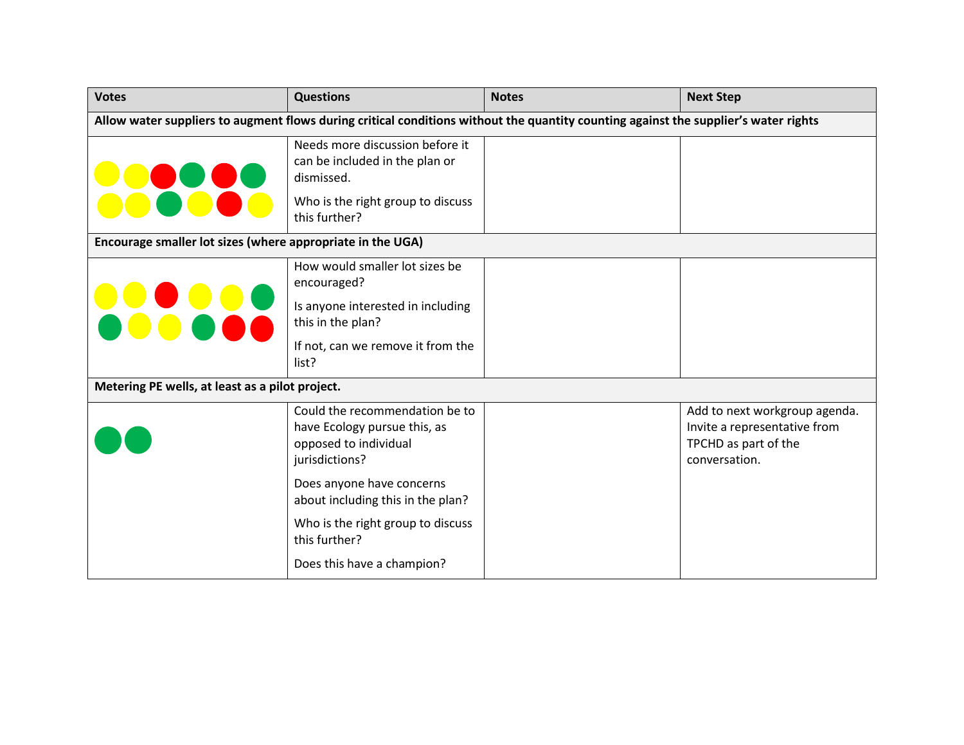| <b>Votes</b>                                                                                                                        | <b>Questions</b>                                                                                                                                      | <b>Notes</b> | <b>Next Step</b>                                                                                       |  |
|-------------------------------------------------------------------------------------------------------------------------------------|-------------------------------------------------------------------------------------------------------------------------------------------------------|--------------|--------------------------------------------------------------------------------------------------------|--|
| Allow water suppliers to augment flows during critical conditions without the quantity counting against the supplier's water rights |                                                                                                                                                       |              |                                                                                                        |  |
|                                                                                                                                     | Needs more discussion before it<br>can be included in the plan or<br>dismissed.<br>Who is the right group to discuss<br>this further?                 |              |                                                                                                        |  |
| Encourage smaller lot sizes (where appropriate in the UGA)                                                                          |                                                                                                                                                       |              |                                                                                                        |  |
|                                                                                                                                     | How would smaller lot sizes be<br>encouraged?<br>Is anyone interested in including<br>this in the plan?<br>If not, can we remove it from the<br>list? |              |                                                                                                        |  |
| Metering PE wells, at least as a pilot project.                                                                                     |                                                                                                                                                       |              |                                                                                                        |  |
|                                                                                                                                     | Could the recommendation be to<br>have Ecology pursue this, as<br>opposed to individual<br>jurisdictions?                                             |              | Add to next workgroup agenda.<br>Invite a representative from<br>TPCHD as part of the<br>conversation. |  |
|                                                                                                                                     | Does anyone have concerns<br>about including this in the plan?                                                                                        |              |                                                                                                        |  |
|                                                                                                                                     | Who is the right group to discuss<br>this further?                                                                                                    |              |                                                                                                        |  |
|                                                                                                                                     | Does this have a champion?                                                                                                                            |              |                                                                                                        |  |